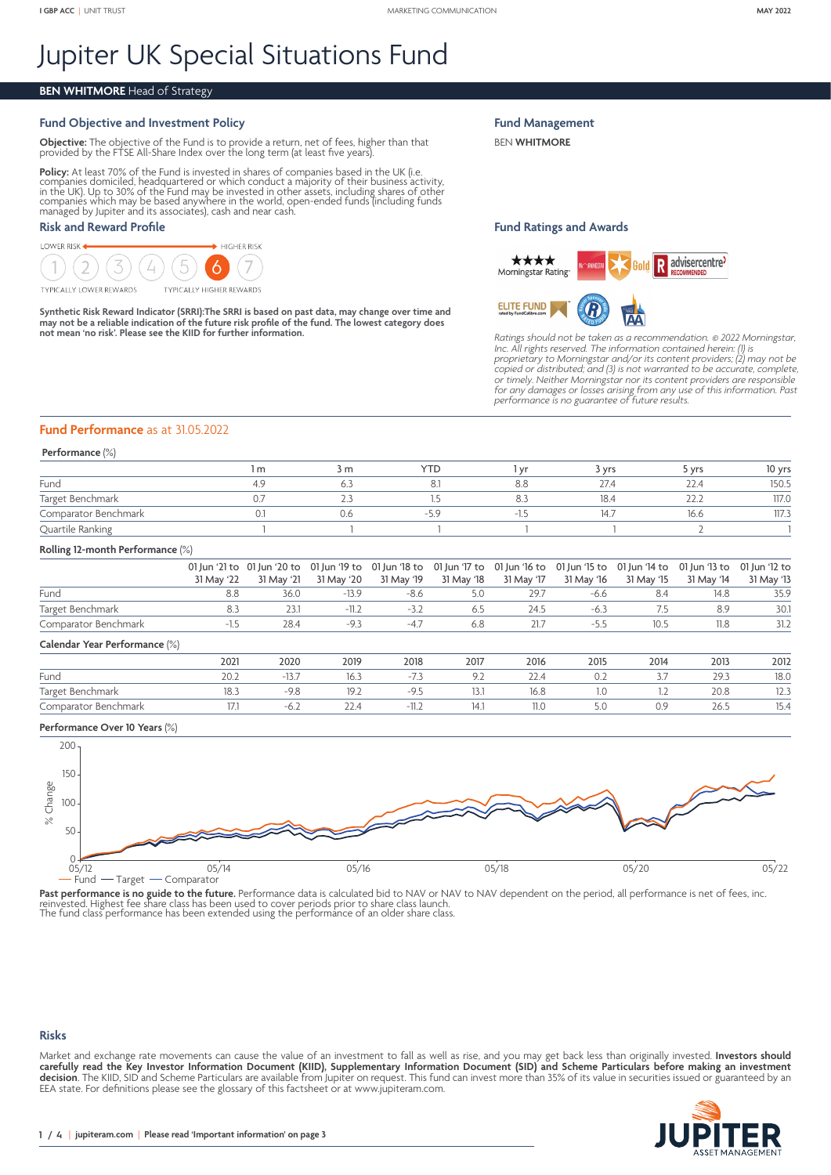# Jupiter UK Special Situations Fund

# **BEN WHITMORE** Head of Strategy

# **Fund Objective and Investment Policy**

**Objective:** The objective of the Fund is to provide a return, net of fees, higher than that provided by the FTSE All-Share Index over the long term (at least five years).

**Policy:** At least 70% of the Fund is invested in shares of companies based in the UK (i.e.<br>companies domiciled, headquartered or which conduct a majority of their business activity,<br>in the UK). Up to 30% of the Fund may b

# **Risk and Reward Profile**



Synthetic Risk Reward Indicator (SRRI):The SRRI is based on past data, may change over time and<br>may not be a reliable indication of the future risk profile of the fund. The lowest category does<br>not mean 'no risk'. Please s

**Fund Management**

BEN **WHITMORE**

## **Fund Ratings and Awards**



*Ratings should not be taken as a recommendation.* © *2022 Morningstar, Inc. All rights reserved. The information contained herein: (1) is proprietary to Morningstar and/or its content providers; (2) may not be copied or distributed; and (3) is not warranted to be accurate, complete, or timely. Neither Morningstar nor its content providers are responsible for any damages or losses arising from any use of this information. Past performance is no guarantee of future results.*

## **Fund Performance** as at 31.05.2022

#### **Performance** (%)

|                      | m | 3 m   | <b>YTD</b> | , vr | 3 Vrs | vrs           | 10 yrs |
|----------------------|---|-------|------------|------|-------|---------------|--------|
| Fund                 |   |       |            |      | 27.4  | 22.4          | 150.5  |
| Target Benchmark     |   | ت ، ک |            |      | 18.4  | $\sim$ $\sim$ | 117.0  |
| Comparator Benchmark |   | V.6   | -5         |      | 14.7  | 16.6          | 117.3  |
| Quartile Ranking     |   |       |            |      |       |               |        |

#### **Rolling 12-month Performance** (%)

|                      |            | 01 Jun '21 to 01 Jun '20 to 01 Jun '19 to 01 Jun '18 to 01 Jun '17 to 01 Jun '16 to 01 Jun '15 to 01 Jun '14 to 01 Jun '13 to 01 Jun '12 to |         |      |         |      |      |            |            |            |
|----------------------|------------|---------------------------------------------------------------------------------------------------------------------------------------------|---------|------|---------|------|------|------------|------------|------------|
|                      | 31 May '22 | 31 May '21  31 May '20  31 May '19  31 May '18  31 May '17  31 May '16                                                                      |         |      |         |      |      | 31 May '15 | 31 May '14 | 31 May '13 |
| Fund                 |            | 36.0                                                                                                                                        | -13.9   | -8.6 | $5.0 -$ | 29.7 | -6.6 |            | 14.8       | 35.9       |
| Target Benchmark     |            |                                                                                                                                             | $-11.2$ |      | 6.5     | 24.5 | -6.3 |            | 8.9        | 30.1       |
| Comparator Benchmark |            | 28.4                                                                                                                                        |         |      | 6.8     | 21.7 |      | 10.5       | 11.8       | 31.2       |

#### **Calendar Year Performance** (%)

| ____<br>_____<br>_______ |      |                   |      |             |                          |      |      |      |      |                |
|--------------------------|------|-------------------|------|-------------|--------------------------|------|------|------|------|----------------|
|                          | 2021 | 2020              | 2019 | 2018        | 2017                     | 2016 | 2015 | 2014 | 2013 | 2012           |
| Fund                     | ZU.Z |                   | IO.J |             | $\overline{\phantom{a}}$ |      |      | ، ب  | 29.3 | 18.0           |
| Target Benchmark         |      | $-9.8$            | 1/1  | <u>/. .</u> | 13.1                     | 16.8 | IJ   |      | 20.8 | $\sim$<br>د.∠ا |
| Comparator Benchmark     |      | $\cup$ . $\angle$ | ∠2.4 | - 11.z      | 14.1                     |      |      |      | 26.5 | 15.4           |

#### **Performance Over 10 Years** (%)



**Past performance is no guide to the future.** Performance data is calculated bid to NAV or NAV to NAV dependent on the period, all performance is net of fees, inc.<br>reinvested. Highest fee share class has been used to cover

#### **Risks**

Market and exchange rate movements can cause the value of an investment to fall as well as rise, and you may get back less than originally invested. **Investors should carefully read the Key Investor Information Document (KIID), Supplementary Information Document (SID) and Scheme Particulars before making an investment decision**. The KIID, SID and Scheme Particulars are available from Jupiter on request. This fund can invest more than 35% of its value in securities issued or guaranteed by an EEA state. For definitions please see the glossary of this factsheet or at [www.jupiteram.com.](www.jupiteram.com)

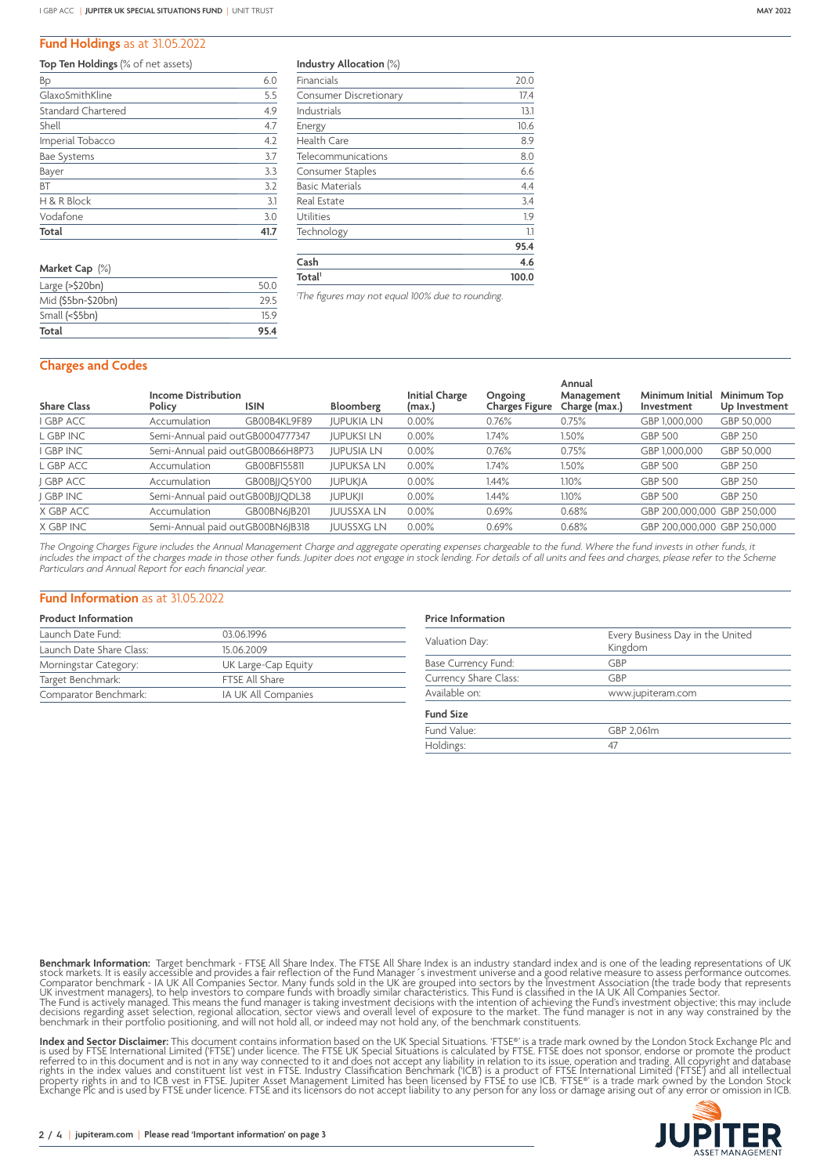### **Fund Holdings** as at 31.05.2022

| Top Ten Holdings (% of net assets) |  |
|------------------------------------|--|
|------------------------------------|--|

| Total              |     |
|--------------------|-----|
| Vodafone           | 3.0 |
| H & R Block        | 3.1 |
| <b>BT</b>          | 3.2 |
| Bayer              | 3.3 |
| Bae Systems        | 3.7 |
| Imperial Tobacco   | 4.2 |
| Shell              | 4.7 |
| Standard Chartered | 4.9 |
| GlaxoSmithKline    | 5.5 |
| Bp                 | 6.0 |

| Market Cap (%)             |      |
|----------------------------|------|
| Large $(>\frac{5}{20}$ bn) | 50 Q |
| Mid (\$5bn-\$20bn)         | 295  |
| Small (<\$5bn)             | 159  |
| Total                      | 95.4 |

**Industry Allocation** (%)

| Technology                    | 1.1<br>95.4 |
|-------------------------------|-------------|
| Utilities                     | 1.9         |
| <b>Real Estate</b>            | 3.4         |
| <b>Basic Materials</b>        | 4.4         |
| Consumer Staples              | 6.6         |
| Telecommunications            | 8.0         |
| <b>Health Care</b>            | 8.9         |
| Energy                        | 10.6        |
| Industrials                   | 13.1        |
| <b>Consumer Discretionary</b> | 17.4        |
| Financials                    | 20.0        |

*1 The figures may not equal 100% due to rounding.*

## **Charges and Codes**

|                    |                                      |                                  |                   |                                 |                                  | Annual                      |                               |                              |  |
|--------------------|--------------------------------------|----------------------------------|-------------------|---------------------------------|----------------------------------|-----------------------------|-------------------------------|------------------------------|--|
| <b>Share Class</b> | <b>Income Distribution</b><br>Policy | <b>ISIN</b>                      | Bloomberg         | <b>Initial Charge</b><br>(max.) | Ongoing<br><b>Charges Figure</b> | Management<br>Charge (max.) | Minimum Initial<br>Investment | Minimum Top<br>Up Investment |  |
| <b>I GBP ACC</b>   | Accumulation                         | GB00B4KL9F89                     | <b>JUPUKIA LN</b> | $0.00\%$                        | 0.76%                            | 0.75%                       | GBP 1,000,000                 | GBP 50,000                   |  |
| L GBP INC          |                                      | Semi-Annual paid outGB0004777347 | <b>JUPUKSI LN</b> | 0.00%                           | 1.74%                            | 1.50%                       | <b>GBP 500</b>                | <b>GBP 250</b>               |  |
| <b>GBP INC</b>     |                                      | Semi-Annual paid outGB00B66H8P73 | <b>JUPUSIA LN</b> | 0.00%                           | 0.76%                            | 0.75%                       | GBP 1,000,000                 | GBP 50.000                   |  |
| L GBP ACC          | Accumulation                         | GB00BF155811                     | <b>JUPUKSA LN</b> | 0.00%                           | $1.74\%$                         | 1.50%                       | <b>GBP 500</b>                | <b>GBP 250</b>               |  |
| J GBP ACC          | Accumulation                         | GB00BJJQ5Y00                     | <b>JUPUKJA</b>    | 0.00%                           | 1.44%                            | 1.10%                       | <b>GBP 500</b>                | GBP 250                      |  |
| J GBP INC          |                                      | Semi-Annual paid outGB00BJJQDL38 | <b>JUPUKJI</b>    | 0.00%                           | 1.44%                            | 1.10%                       | <b>GBP 500</b>                | <b>GBP 250</b>               |  |
| X GBP ACC          | Accumulation                         | GB00BN6IB201                     | <b>JUUSSXA LN</b> | 0.00%                           | 0.69%                            | 0.68%                       | GBP 200.000.000 GBP 250.000   |                              |  |
| X GBP INC          |                                      | Semi-Annual paid outGB00BN6JB318 | <b>JUUSSXG LN</b> | 0.00%                           | 0.69%                            | 0.68%                       | GBP 200.000.000 GBP 250.000   |                              |  |

*The Ongoing Charges Figure includes the Annual Management Charge and aggregate operating expenses chargeable to the fund. Where the fund invests in other funds, it includes the impact of the charges made in those other funds. Jupiter does not engage in stock lending. For details of all units and fees and charges, please refer to the Scheme Particulars and Annual Report for each financial year.*

#### **Fund Information** as at 31.05.2022

## **Product Information**

| Launch Date Fund:        | 03.06.1996          |  |
|--------------------------|---------------------|--|
| Launch Date Share Class: | 15.06.2009          |  |
| Morningstar Category:    | UK Large-Cap Equity |  |
| Target Benchmark:        | FTSE All Share      |  |
| Comparator Benchmark:    | IA UK All Companies |  |

# **Price Information** Valuation Day: Every Business Day in the United Kingdom Base Currency Fund: GBP Currency Share Class: GBP Available on: www.jupiteram.com **Fund Size** Fund Value: GBP 2,061m<br>Holdings: 47 Holdings:

**Benchmark Information:** Target benchmark - FTSE All Share Index. The FTSE All Share Index is an industry standard index and is one of the leading representations of UK stock markets. It is easily accessible and provides a

**Index and Sector Disclaimer:** This document contains information based on the UK Special Situations. 'FTSE®' is a trade mark owned by the London Stock Exchange Plc and<br>is used by FTSE International Limited ('FTSE') under

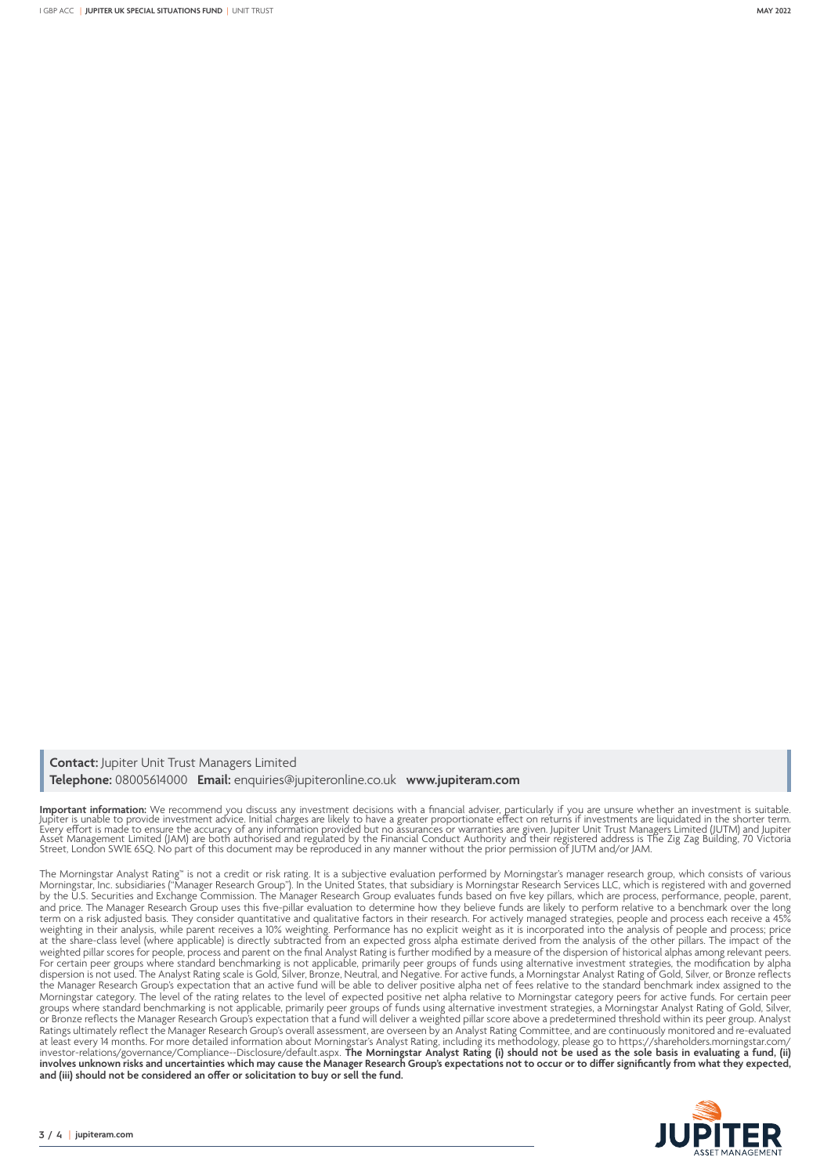**Contact:** Jupiter Unit Trust Managers Limited **Telephone:** 08005614000 **Email:** enquiries@jupiteronline.co.uk **www.jupiteram.com**

**Important information:** We recommend you discuss any investment decisions with a financial adviser, particularly if you are unsure whether an investment is suitable.<br>Jupiter is unable to provide investment advice. Initial

The Morningstar Analyst Rating™ is not a credit or risk rating. It is a subjective evaluation performed by Morningstar's manager research group, which consists of various Morningstar, Inc. subsidiaries ("Manager Research Group"). In the United States, that subsidiary is Morningstar Research Services LLC, which is registered with and governed by the U.S. Securities and Exchange Commission. The Manager Research Group evaluates funds based on five key pillars, which are process, performance, people, parent, and price. The Manager Research Group uses this five-pillar evaluation to determine how they believe funds are likely to perform relative to a benchmark over the long term on a risk adjusted basis. They consider quantitative and qualitative factors in their research. For actively managed strategies, people and process each receive a 45% weighting in their analysis, while parent receives a 10% weighting. Performance has no explicit weight as it is incorporated into the analysis of people and process; price at the share-class level (where applicable) is directly subtracted from an expected gross alpha estimate derived from the analysis of the other pillars. The impact of the weighted pillar scores for people, process and parent on the final Analyst Rating is further modified by a measure of the dispersion of historical alphas among relevant peers. For certain peer groups where standard benchmarking is not applicable, primarily peer groups of funds using alternative investment strategies, the modification by alpha dispersion is not used. The Analyst Rating scale is Gold, Silver, Bronze, Neutral, and Negative. For active funds, a Morningstar Analyst Rating of Gold, Silver, or Bronze reflects the Manager Research Group's expectation that an active fund will be able to deliver positive alpha net of fees relative to the standard benchmark index assigned to the Morningstar category. The level of the rating relates to the level of expected positive net alpha relative to Morningstar category peers for active funds. For certain peer groups where standard benchmarking is not applicable, primarily peer groups of funds using alternative investment strategies, a Morningstar Analyst Rating of Gold, Silver, or Bronze reflects the Manager Research Group's expectation that a fund will deliver a weighted pillar score above a predetermined threshold within its peer group. Analyst Ratings ultimately reflect the Manager Research Group's overall assessment, are overseen by an Analyst Rating Committee, and are continuously monitored and re-evaluated at least every 14 months. For more detailed information about Morningstar's Analyst Rating, including its methodology, please go to [https://shareholders.morningstar.com/](https://eur02.safelinks.protection.outlook.com/?url=https%3A%2F%2Fshareholders.morningstar.com%2Finvestor-relations%2Fgovernance%2F&data=04%7C01%7Clucy.wood%40jupiteram.com%7C4038554a5e5f4bce49a108d99ae2adbe%7C70e1a0b75bf5416b96c4f244fca5ae53%7C0%7C1%7C637711123631073812%7CUnknown%7CTWFpbGZsb3d8eyJWIjoiMC4wLjAwMDAiLCJQIjoiV2luMzIiLCJBTiI6Ik1haWwiLCJXVCI6Mn0%3D%7C3000&sdata=jGoqhWfMQrXNvbn1Dtx%2Bj53uujWg4rA%2FrQuTwm6SUnI%3D&reserved=0) [investor-relations/governance/C](https://eur02.safelinks.protection.outlook.com/?url=https%3A%2F%2Fshareholders.morningstar.com%2Finvestor-relations%2Fgovernance%2F&data=04%7C01%7Clucy.wood%40jupiteram.com%7C4038554a5e5f4bce49a108d99ae2adbe%7C70e1a0b75bf5416b96c4f244fca5ae53%7C0%7C1%7C637711123631073812%7CUnknown%7CTWFpbGZsb3d8eyJWIjoiMC4wLjAwMDAiLCJQIjoiV2luMzIiLCJBTiI6Ik1haWwiLCJXVCI6Mn0%3D%7C3000&sdata=jGoqhWfMQrXNvbn1Dtx%2Bj53uujWg4rA%2FrQuTwm6SUnI%3D&reserved=0)ompliance--Disclosure/default.aspx. **The Morningstar Analyst Rating (i) should not be used as the sole basis in evaluating a fund, (ii) involves unknown risks and uncertainties which may cause the Manager Research Group's expectations not to occur or to differ significantly from what they expected, and (iii) should not be considered an offer or solicitation to buy or sell the fund.**